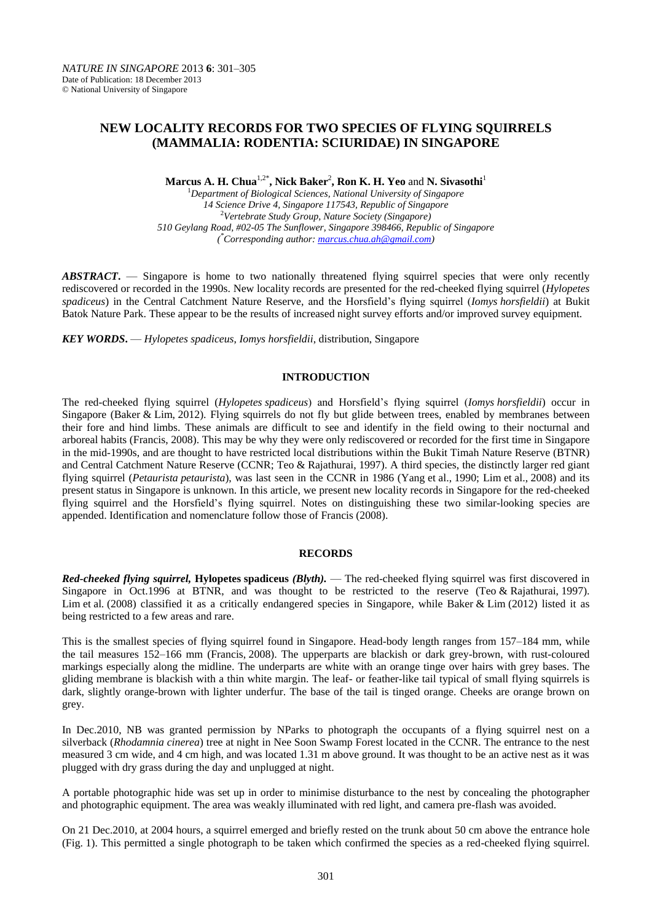# **NEW LOCALITY RECORDS FOR TWO SPECIES OF FLYING SQUIRRELS (MAMMALIA: RODENTIA: SCIURIDAE) IN SINGAPORE**

**Marcus A. H. Chua**1,2\***, Nick Baker**<sup>2</sup> **, Ron K. H. Yeo** and **N. Sivasothi**<sup>1</sup>

<sup>1</sup>*Department of Biological Sciences, National University of Singapore 14 Science Drive 4, Singapore 117543, Republic of Singapore* <sup>2</sup>*Vertebrate Study Group, Nature Society (Singapore) 510 Geylang Road, #02-05 The Sunflower, Singapore 398466, Republic of Singapore ( \*Corresponding author[: marcus.chua.ah@gmail.com\)](mailto:marcus.chua.ah@gmail.com)*

*ABSTRACT***.** — Singapore is home to two nationally threatened flying squirrel species that were only recently rediscovered or recorded in the 1990s. New locality records are presented for the red-cheeked flying squirrel (*Hylopetes spadiceus*) in the Central Catchment Nature Reserve, and the Horsfield's flying squirrel (*Iomys horsfieldii*) at Bukit Batok Nature Park. These appear to be the results of increased night survey efforts and/or improved survey equipment.

*KEY WORDS***.** — *Hylopetes spadiceus*, *Iomys horsfieldii*, distribution, Singapore

### **INTRODUCTION**

The red-cheeked flying squirrel (*Hylopetes spadiceus*) and Horsfield's flying squirrel (*Iomys horsfieldii*) occur in Singapore (Baker & Lim, 2012). Flying squirrels do not fly but glide between trees, enabled by membranes between their fore and hind limbs. These animals are difficult to see and identify in the field owing to their nocturnal and arboreal habits (Francis, 2008). This may be why they were only rediscovered or recorded for the first time in Singapore in the mid-1990s, and are thought to have restricted local distributions within the Bukit Timah Nature Reserve (BTNR) and Central Catchment Nature Reserve (CCNR; Teo & Rajathurai, 1997). A third species, the distinctly larger red giant flying squirrel (*Petaurista petaurista*), was last seen in the CCNR in 1986 (Yang et al., 1990; Lim et al., 2008) and its present status in Singapore is unknown. In this article, we present new locality records in Singapore for the red-cheeked flying squirrel and the Horsfield's flying squirrel. Notes on distinguishing these two similar-looking species are appended. Identification and nomenclature follow those of Francis (2008).

## **RECORDS**

*Red-cheeked flying squirrel,* **Hylopetes spadiceus** *(Blyth).* — The red-cheeked flying squirrel was first discovered in Singapore in Oct.1996 at BTNR, and was thought to be restricted to the reserve (Teo & Rajathurai, 1997). Lim et al. (2008) classified it as a critically endangered species in Singapore, while Baker & Lim (2012) listed it as being restricted to a few areas and rare.

This is the smallest species of flying squirrel found in Singapore. Head-body length ranges from 157–184 mm, while the tail measures 152–166 mm (Francis, 2008). The upperparts are blackish or dark grey-brown, with rust-coloured markings especially along the midline. The underparts are white with an orange tinge over hairs with grey bases. The gliding membrane is blackish with a thin white margin. The leaf- or feather-like tail typical of small flying squirrels is dark, slightly orange-brown with lighter underfur. The base of the tail is tinged orange. Cheeks are orange brown on grey.

In Dec.2010, NB was granted permission by NParks to photograph the occupants of a flying squirrel nest on a silverback (*Rhodamnia cinerea*) tree at night in Nee Soon Swamp Forest located in the CCNR. The entrance to the nest measured 3 cm wide, and 4 cm high, and was located 1.31 m above ground. It was thought to be an active nest as it was plugged with dry grass during the day and unplugged at night.

A portable photographic hide was set up in order to minimise disturbance to the nest by concealing the photographer and photographic equipment. The area was weakly illuminated with red light, and camera pre-flash was avoided.

On 21 Dec.2010, at 2004 hours, a squirrel emerged and briefly rested on the trunk about 50 cm above the entrance hole (Fig. 1). This permitted a single photograph to be taken which confirmed the species as a red-cheeked flying squirrel.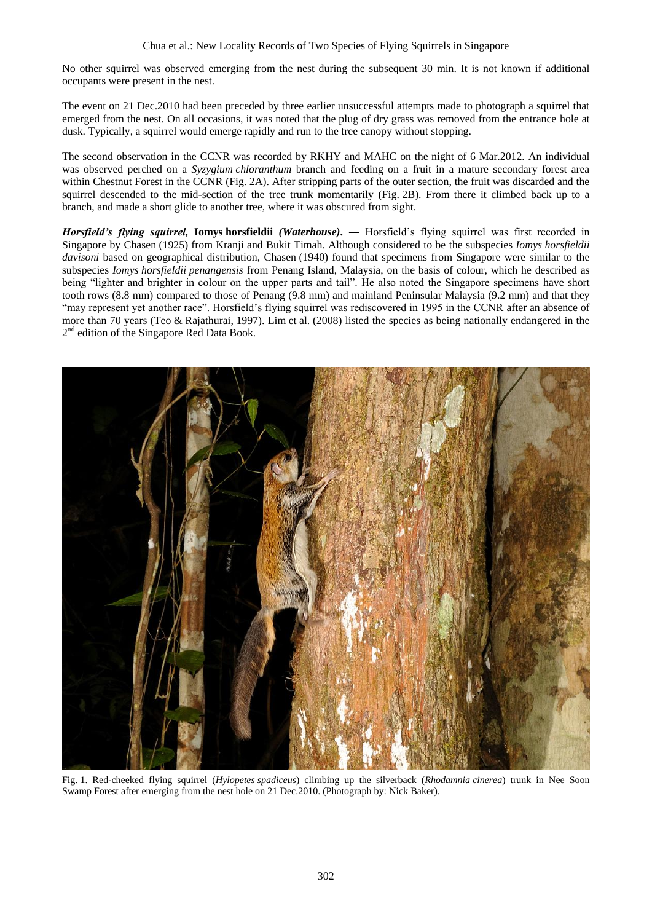No other squirrel was observed emerging from the nest during the subsequent 30 min. It is not known if additional occupants were present in the nest.

The event on 21 Dec.2010 had been preceded by three earlier unsuccessful attempts made to photograph a squirrel that emerged from the nest. On all occasions, it was noted that the plug of dry grass was removed from the entrance hole at dusk. Typically, a squirrel would emerge rapidly and run to the tree canopy without stopping.

The second observation in the CCNR was recorded by RKHY and MAHC on the night of 6 Mar.2012. An individual was observed perched on a *Syzygium chloranthum* branch and feeding on a fruit in a mature secondary forest area within Chestnut Forest in the CCNR (Fig. 2A). After stripping parts of the outer section, the fruit was discarded and the squirrel descended to the mid-section of the tree trunk momentarily (Fig. 2B). From there it climbed back up to a branch, and made a short glide to another tree, where it was obscured from sight.

*Horsfield's flying squirrel,* **Iomys horsfieldii** *(Waterhouse)***. ―** Horsfield's flying squirrel was first recorded in Singapore by Chasen (1925) from Kranji and Bukit Timah. Although considered to be the subspecies *Iomys horsfieldii davisoni* based on geographical distribution, Chasen (1940) found that specimens from Singapore were similar to the subspecies *Iomys horsfieldii penangensis* from Penang Island, Malaysia, on the basis of colour, which he described as being "lighter and brighter in colour on the upper parts and tail". He also noted the Singapore specimens have short tooth rows (8.8 mm) compared to those of Penang (9.8 mm) and mainland Peninsular Malaysia (9.2 mm) and that they "may represent yet another race". Horsfield's flying squirrel was rediscovered in 1995 in the CCNR after an absence of more than 70 years (Teo & Rajathurai, 1997). Lim et al. (2008) listed the species as being nationally endangered in the 2<sup>nd</sup> edition of the Singapore Red Data Book.



Fig. 1. Red-cheeked flying squirrel (*Hylopetes spadiceus*) climbing up the silverback (*Rhodamnia cinerea*) trunk in Nee Soon Swamp Forest after emerging from the nest hole on 21 Dec.2010. (Photograph by: Nick Baker).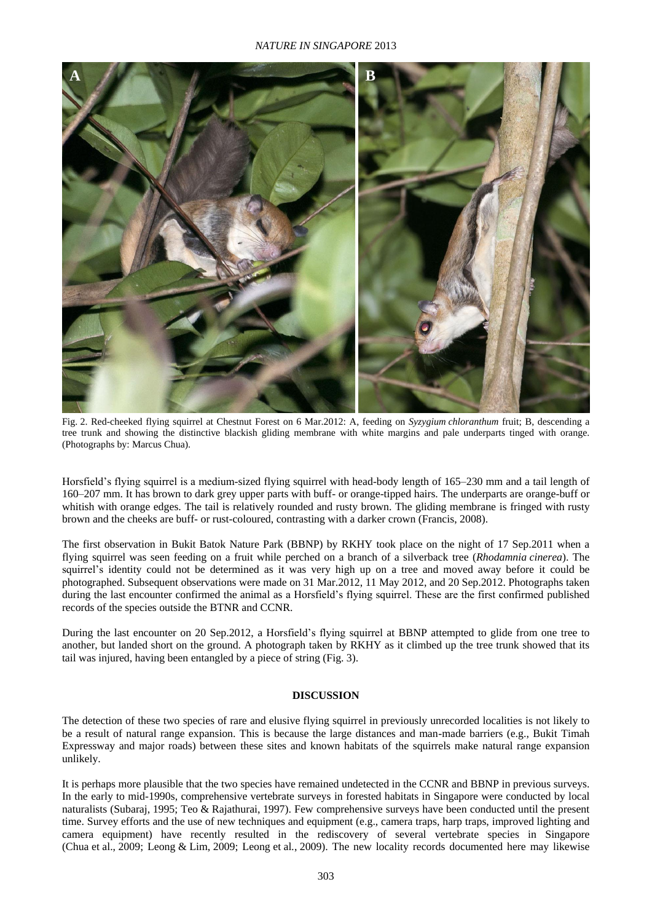### *NATURE IN SINGAPORE* 2013



Fig. 2. Red-cheeked flying squirrel at Chestnut Forest on 6 Mar.2012: A, feeding on *Syzygium chloranthum* fruit; B, descending a tree trunk and showing the distinctive blackish gliding membrane with white margins and pale underparts tinged with orange. (Photographs by: Marcus Chua).

Horsfield's flying squirrel is a medium-sized flying squirrel with head-body length of 165–230 mm and a tail length of 160–207 mm. It has brown to dark grey upper parts with buff- or orange-tipped hairs. The underparts are orange-buff or whitish with orange edges. The tail is relatively rounded and rusty brown. The gliding membrane is fringed with rusty brown and the cheeks are buff- or rust-coloured, contrasting with a darker crown (Francis, 2008).

The first observation in Bukit Batok Nature Park (BBNP) by RKHY took place on the night of 17 Sep.2011 when a flying squirrel was seen feeding on a fruit while perched on a branch of a silverback tree (*Rhodamnia cinerea*). The squirrel's identity could not be determined as it was very high up on a tree and moved away before it could be photographed. Subsequent observations were made on 31 Mar.2012, 11 May 2012, and 20 Sep.2012. Photographs taken during the last encounter confirmed the animal as a Horsfield's flying squirrel. These are the first confirmed published records of the species outside the BTNR and CCNR.

During the last encounter on 20 Sep.2012, a Horsfield's flying squirrel at BBNP attempted to glide from one tree to another, but landed short on the ground. A photograph taken by RKHY as it climbed up the tree trunk showed that its tail was injured, having been entangled by a piece of string (Fig. 3).

#### **DISCUSSION**

The detection of these two species of rare and elusive flying squirrel in previously unrecorded localities is not likely to be a result of natural range expansion. This is because the large distances and man-made barriers (e.g., Bukit Timah Expressway and major roads) between these sites and known habitats of the squirrels make natural range expansion unlikely.

It is perhaps more plausible that the two species have remained undetected in the CCNR and BBNP in previous surveys. In the early to mid-1990s, comprehensive vertebrate surveys in forested habitats in Singapore were conducted by local naturalists (Subaraj, 1995; Teo & Rajathurai, 1997). Few comprehensive surveys have been conducted until the present time. Survey efforts and the use of new techniques and equipment (e.g., camera traps, harp traps, improved lighting and camera equipment) have recently resulted in the rediscovery of several vertebrate species in Singapore (Chua et al., 2009; Leong & Lim, 2009; Leong et al*.*, 2009). The new locality records documented here may likewise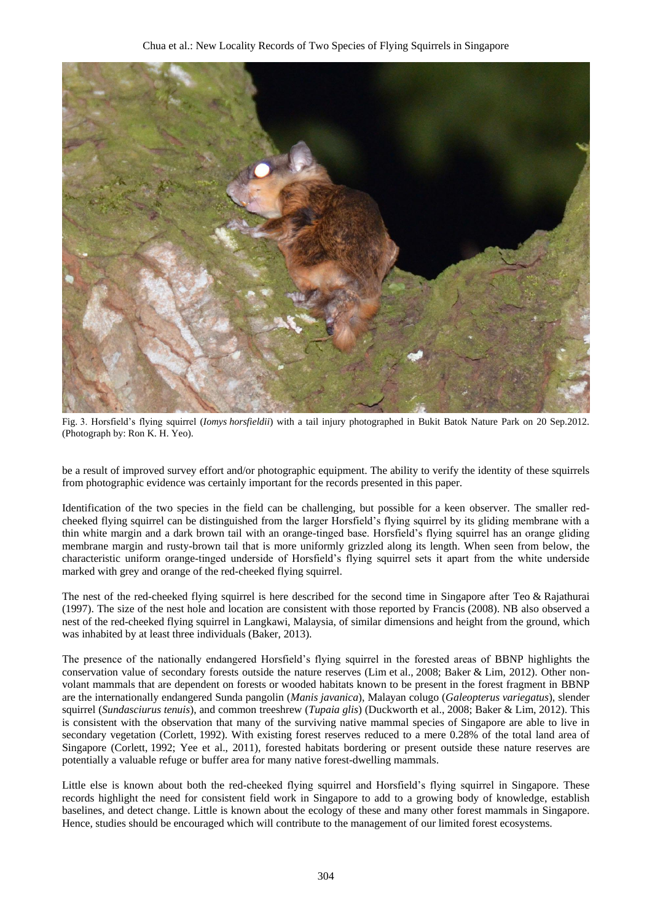

Fig. 3. Horsfield's flying squirrel (*Iomys horsfieldii*) with a tail injury photographed in Bukit Batok Nature Park on 20 Sep.2012. (Photograph by: Ron K. H. Yeo).

be a result of improved survey effort and/or photographic equipment. The ability to verify the identity of these squirrels from photographic evidence was certainly important for the records presented in this paper.

Identification of the two species in the field can be challenging, but possible for a keen observer. The smaller redcheeked flying squirrel can be distinguished from the larger Horsfield's flying squirrel by its gliding membrane with a thin white margin and a dark brown tail with an orange-tinged base. Horsfield's flying squirrel has an orange gliding membrane margin and rusty-brown tail that is more uniformly grizzled along its length. When seen from below, the characteristic uniform orange-tinged underside of Horsfield's flying squirrel sets it apart from the white underside marked with grey and orange of the red-cheeked flying squirrel.

The nest of the red-cheeked flying squirrel is here described for the second time in Singapore after Teo & Rajathurai (1997). The size of the nest hole and location are consistent with those reported by Francis (2008). NB also observed a nest of the red-cheeked flying squirrel in Langkawi, Malaysia, of similar dimensions and height from the ground, which was inhabited by at least three individuals (Baker, 2013).

The presence of the nationally endangered Horsfield's flying squirrel in the forested areas of BBNP highlights the conservation value of secondary forests outside the nature reserves (Lim et al., 2008; Baker & Lim, 2012). Other nonvolant mammals that are dependent on forests or wooded habitats known to be present in the forest fragment in BBNP are the internationally endangered Sunda pangolin (*Manis javanica*), Malayan colugo (*Galeopterus variegatus*), slender squirrel (*Sundasciurus tenuis*), and common treeshrew (*Tupaia glis*) (Duckworth et al., 2008; Baker & Lim, 2012). This is consistent with the observation that many of the surviving native mammal species of Singapore are able to live in secondary vegetation (Corlett, 1992). With existing forest reserves reduced to a mere 0.28% of the total land area of Singapore (Corlett, 1992; Yee et al., 2011), forested habitats bordering or present outside these nature reserves are potentially a valuable refuge or buffer area for many native forest-dwelling mammals.

Little else is known about both the red-cheeked flying squirrel and Horsfield's flying squirrel in Singapore. These records highlight the need for consistent field work in Singapore to add to a growing body of knowledge, establish baselines, and detect change. Little is known about the ecology of these and many other forest mammals in Singapore. Hence, studies should be encouraged which will contribute to the management of our limited forest ecosystems.